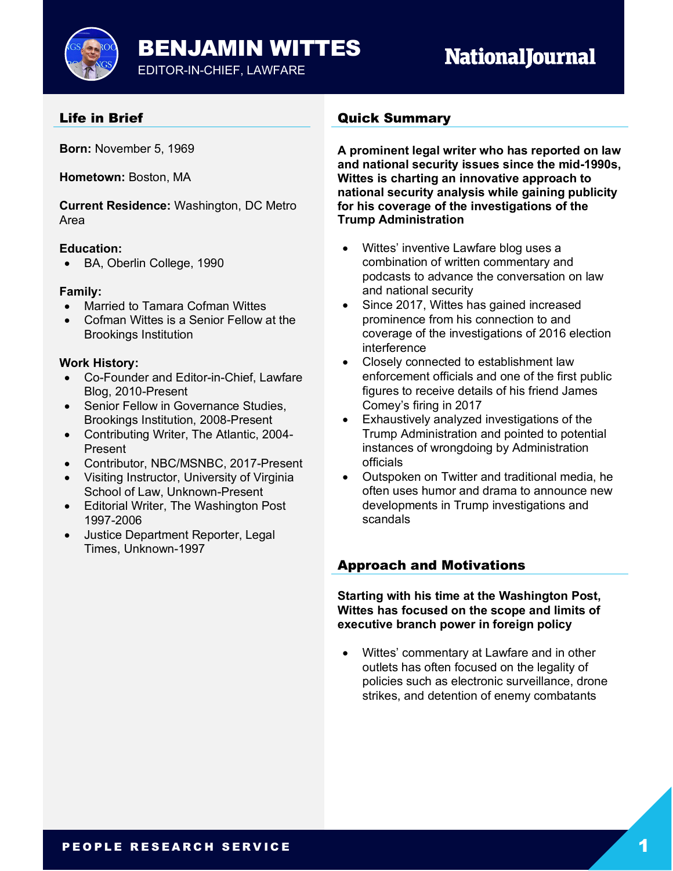

# Life in Brief

**Born:** November 5, 1969

**Hometown:** Boston, MA

**Current Residence:** Washington, DC Metro Area

## **Education:**

• BA, Oberlin College, 1990

#### **Family:**

- Married to Tamara Cofman Wittes
- Cofman Wittes is a Senior Fellow at the Brookings Institution

## **Work History:**

- Co-Founder and Editor-in-Chief, Lawfare Blog, 2010-Present
- Senior Fellow in Governance Studies, Brookings Institution, 2008-Present
- Contributing Writer, The Atlantic, 2004- Present
- Contributor, NBC/MSNBC, 2017-Present
- Visiting Instructor, University of Virginia School of Law, Unknown-Present
- Editorial Writer, The Washington Post 1997-2006
- Justice Department Reporter, Legal Times, Unknown-1997

# Quick Summary

**A prominent legal writer who has reported on law and national security issues since the mid-1990s, Wittes is charting an innovative approach to national security analysis while gaining publicity for his coverage of the investigations of the Trump Administration**

- Wittes' inventive Lawfare blog uses a combination of written commentary and podcasts to advance the conversation on law and national security
- Since 2017, Wittes has gained increased prominence from his connection to and coverage of the investigations of 2016 election interference
- Closely connected to establishment law enforcement officials and one of the first public figures to receive details of his friend James Comey's firing in 2017
- Exhaustively analyzed investigations of the Trump Administration and pointed to potential instances of wrongdoing by Administration officials
- Outspoken on Twitter and traditional media, he often uses humor and drama to announce new developments in Trump investigations and scandals

# Approach and Motivations

**Starting with his time at the Washington Post, Wittes has focused on the scope and limits of executive branch power in foreign policy**

• Wittes' commentary at Lawfare and in other outlets has often focused on the legality of policies such as electronic surveillance, drone strikes, and detention of enemy combatants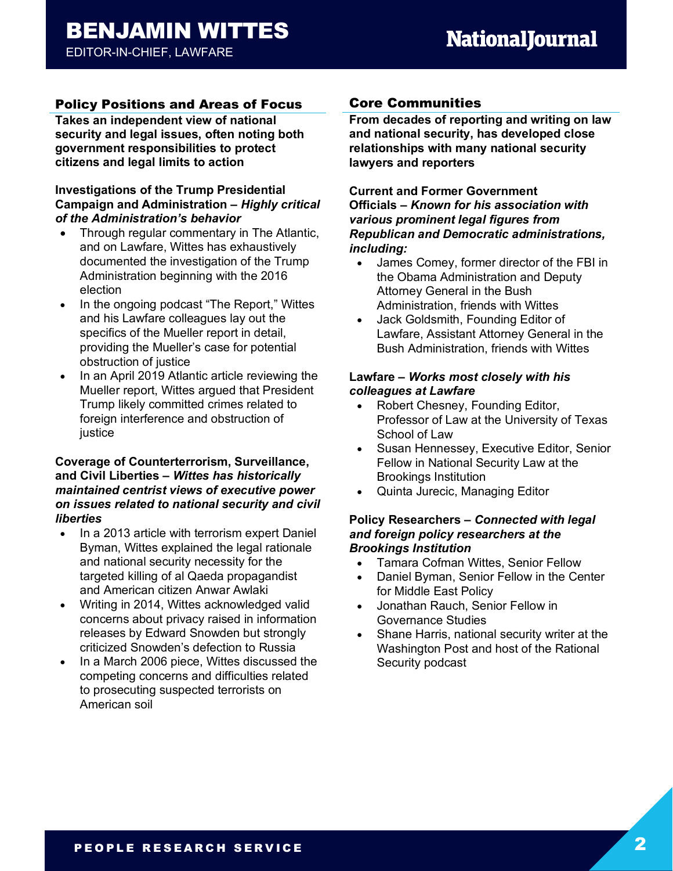# Policy Positions and Areas of Focus

**Takes an independent view of national security and legal issues, often noting both government responsibilities to protect citizens and legal limits to action**

#### **Investigations of the Trump Presidential Campaign and Administration –** *Highly critical of the Administration's behavior*

- Through regular commentary in The Atlantic, and on Lawfare, Wittes has exhaustively documented the investigation of the Trump Administration beginning with the 2016 election
- In the ongoing podcast "The Report," Wittes and his Lawfare colleagues lay out the specifics of the Mueller report in detail, providing the Mueller's case for potential obstruction of justice
- In an April 2019 Atlantic article reviewing the Mueller report, Wittes argued that President Trump likely committed crimes related to foreign interference and obstruction of iustice

#### **Coverage of Counterterrorism, Surveillance, and Civil Liberties –** *Wittes has historically maintained centrist views of executive power on issues related to national security and civil liberties*

- In a 2013 article with terrorism expert Daniel Byman, Wittes explained the legal rationale and national security necessity for the targeted killing of al Qaeda propagandist and American citizen Anwar Awlaki
- Writing in 2014, Wittes acknowledged valid concerns about privacy raised in information releases by Edward Snowden but strongly criticized Snowden's defection to Russia
- In a March 2006 piece, Wittes discussed the competing concerns and difficulties related to prosecuting suspected terrorists on American soil

# Core Communities

**From decades of reporting and writing on law and national security, has developed close relationships with many national security lawyers and reporters**

#### **Current and Former Government Officials –** *Known for his association with various prominent legal figures from Republican and Democratic administrations, including:*

- James Comey, former director of the FBI in the Obama Administration and Deputy Attorney General in the Bush Administration, friends with Wittes
- Jack Goldsmith, Founding Editor of Lawfare, Assistant Attorney General in the Bush Administration, friends with Wittes

#### **Lawfare –** *Works most closely with his colleagues at Lawfare*

- Robert Chesney, Founding Editor, Professor of Law at the University of Texas School of Law
- Susan Hennessey, Executive Editor, Senior Fellow in National Security Law at the Brookings Institution
- Quinta Jurecic, Managing Editor

#### **Policy Researchers –** *Connected with legal and foreign policy researchers at the Brookings Institution*

- Tamara Cofman Wittes, Senior Fellow
- Daniel Byman, Senior Fellow in the Center for Middle East Policy
- Jonathan Rauch, Senior Fellow in Governance Studies
- Shane Harris, national security writer at the Washington Post and host of the Rational Security podcast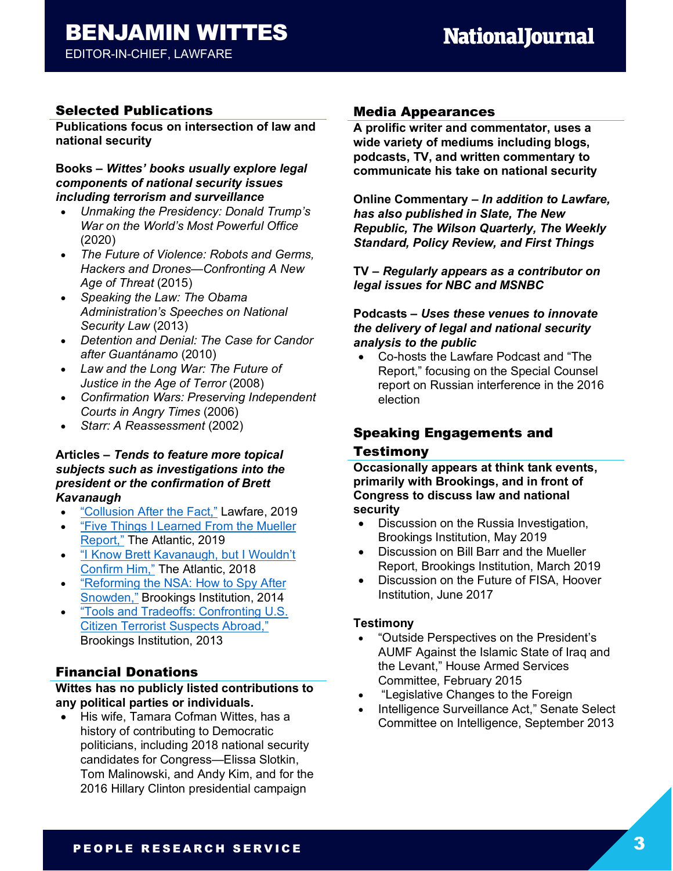# BENJAMIN WITTES

# EDITOR-IN-CHIEF, LAWFARE

# Selected Publications

**Publications focus on intersection of law and national security**

#### **Books –** *Wittes' books usually explore legal components of national security issues including terrorism and surveillance*

- *Unmaking the Presidency: Donald Trump's War on the World's Most Powerful Office*  (2020)
- *The Future of Violence: Robots and Germs, Hackers and Drones—Confronting A New Age of Threat* (2015)
- *Speaking the Law: The Obama Administration's Speeches on National Security Law* (2013)
- *Detention and Denial: The Case for Candor after Guantánamo* (2010)
- *Law and the Long War: The Future of Justice in the Age of Terror* (2008)
- *Confirmation Wars: Preserving Independent Courts in Angry Times* (2006)
- *Starr: A Reassessment* (2002)

## **Articles –** *Tends to feature more topical subjects such as investigations into the president or the confirmation of Brett Kavanaugh*

- "Collusion After the Fact," Lawfare, 2019
- "Five Things I Learned From the Mueller Report," The Atlantic, 2019
- "I Know Brett Kavanaugh, but I Wouldn't Confirm Him," The Atlantic, 2018
- "Reforming the NSA: How to Spy After Snowden," Brookings Institution, 2014
- "Tools and Tradeoffs: Confronting U.S. Citizen Terrorist Suspects Abroad," Brookings Institution, 2013

# Financial Donations

#### **Wittes has no publicly listed contributions to any political parties or individuals.**

• His wife, Tamara Cofman Wittes, has a history of contributing to Democratic politicians, including 2018 national security candidates for Congress—Elissa Slotkin, Tom Malinowski, and Andy Kim, and for the 2016 Hillary Clinton presidential campaign

## Media Appearances

**A prolific writer and commentator, uses a wide variety of mediums including blogs, podcasts, TV, and written commentary to communicate his take on national security** 

**Online Commentary –** *In addition to Lawfare, has also published in Slate, The New Republic, The Wilson Quarterly, The Weekly Standard, Policy Review, and First Things*

**TV –** *Regularly appears as a contributor on legal issues for NBC and MSNBC*

## **Podcasts –** *Uses these venues to innovate the delivery of legal and national security analysis to the public*

• Co-hosts the Lawfare Podcast and "The Report," focusing on the Special Counsel report on Russian interference in the 2016 election

# Speaking Engagements and

## Testimony

**Occasionally appears at think tank events, primarily with Brookings, and in front of Congress to discuss law and national security**

- Discussion on the Russia Investigation, Brookings Institution, May 2019
- Discussion on Bill Barr and the Mueller Report, Brookings Institution, March 2019
- Discussion on the Future of FISA, Hoover Institution, June 2017

## **Testimony**

- "Outside Perspectives on the President's AUMF Against the Islamic State of Iraq and the Levant," House Armed Services Committee, February 2015
- "Legislative Changes to the Foreign
- Intelligence Surveillance Act," Senate Select Committee on Intelligence, September 2013